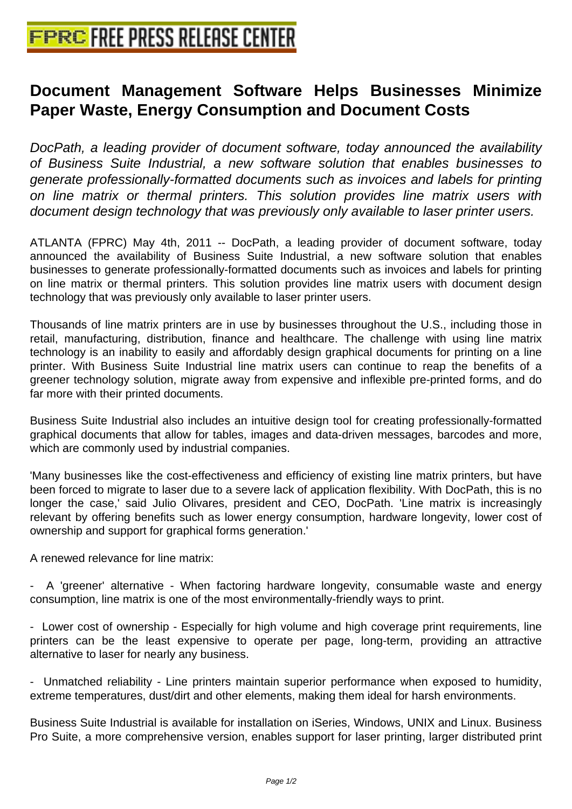# **[Document Management Software](http://www.free-press-release-center.info) Helps Businesses Minimize Paper Waste, Energy Consumption and Document Costs**

DocPath, a leading provider of document software, today announced the availability of Business Suite Industrial, a new software solution that enables businesses to generate professionally-formatted documents such as invoices and labels for printing on line matrix or thermal printers. This solution provides line matrix users with document design technology that was previously only available to laser printer users.

ATLANTA (FPRC) May 4th, 2011 -- DocPath, a leading provider of document software, today announced the availability of Business Suite Industrial, a new software solution that enables businesses to generate professionally-formatted documents such as invoices and labels for printing on line matrix or thermal printers. This solution provides line matrix users with document design technology that was previously only available to laser printer users.

Thousands of line matrix printers are in use by businesses throughout the U.S., including those in retail, manufacturing, distribution, finance and healthcare. The challenge with using line matrix technology is an inability to easily and affordably design graphical documents for printing on a line printer. With Business Suite Industrial line matrix users can continue to reap the benefits of a greener technology solution, migrate away from expensive and inflexible pre-printed forms, and do far more with their printed documents.

Business Suite Industrial also includes an intuitive design tool for creating professionally-formatted graphical documents that allow for tables, images and data-driven messages, barcodes and more, which are commonly used by industrial companies.

'Many businesses like the cost-effectiveness and efficiency of existing line matrix printers, but have been forced to migrate to laser due to a severe lack of application flexibility. With DocPath, this is no longer the case,' said Julio Olivares, president and CEO, DocPath. 'Line matrix is increasingly relevant by offering benefits such as lower energy consumption, hardware longevity, lower cost of ownership and support for graphical forms generation.'

A renewed relevance for line matrix:

- A 'greener' alternative - When factoring hardware longevity, consumable waste and energy consumption, line matrix is one of the most environmentally-friendly ways to print.

- Lower cost of ownership - Especially for high volume and high coverage print requirements, line printers can be the least expensive to operate per page, long-term, providing an attractive alternative to laser for nearly any business.

- Unmatched reliability - Line printers maintain superior performance when exposed to humidity, extreme temperatures, dust/dirt and other elements, making them ideal for harsh environments.

Business Suite Industrial is available for installation on iSeries, Windows, UNIX and Linux. Business Pro Suite, a more comprehensive version, enables support for laser printing, larger distributed print